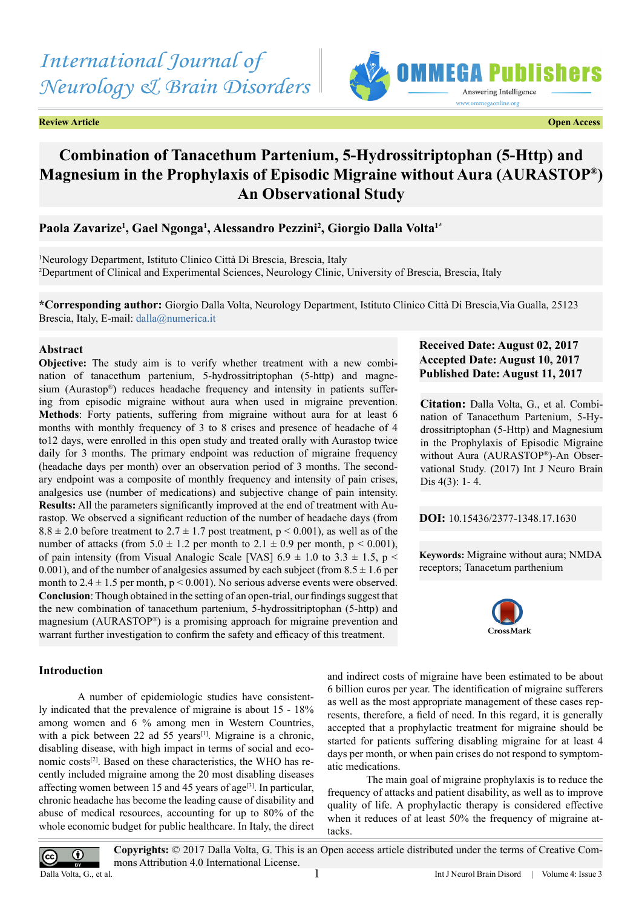# *International Journal of Neurology & Brain Disorders*

**Review Article Contract Contract Contract Contract Contract Contract Contract Contract Contract Contract Contract Contract Contract Contract Contract Contract Contract Contract Contract Contract Contract Contract Contract** 



# **Combination of Tanacethum Partenium, 5-Hydrossitriptophan (5-Http) and Magnesium in the Prophylaxis of Episodic Migraine without Aura (AURASTOP®) An Observational Study**

# **Paola Zavarize1 , Gael Ngonga1 , Alessandro Pezzini2 , Giorgio Dalla Volta1\***

1 Neurology Department, Istituto Clinico Città Di Brescia, Brescia, Italy 2 Department of Clinical and Experimental Sciences, Neurology Clinic, University of Brescia, Brescia, Italy

**\*Corresponding author:** Giorgio Dalla Volta, Neurology Department, Istituto Clinico Città Di Brescia,Via Gualla, 25123 Brescia, Italy, E-mail: [dalla@numerica.it](mailto:dalla@numerica.it)

# **Abstract**

**Objective:** The study aim is to verify whether treatment with a new combination of tanacethum partenium, 5-hydrossitriptophan (5-http) and magnesium (Aurastop®) reduces headache frequency and intensity in patients suffering from episodic migraine without aura when used in migraine prevention. **Methods**: Forty patients, suffering from migraine without aura for at least 6 months with monthly frequency of 3 to 8 crises and presence of headache of 4 to12 days, were enrolled in this open study and treated orally with Aurastop twice daily for 3 months. The primary endpoint was reduction of migraine frequency (headache days per month) over an observation period of 3 months. The secondary endpoint was a composite of monthly frequency and intensity of pain crises, analgesics use (number of medications) and subjective change of pain intensity. **Results:** All the parameters significantly improved at the end of treatment with Aurastop. We observed a significant reduction of the number of headache days (from  $8.8 \pm 2.0$  before treatment to  $2.7 \pm 1.7$  post treatment,  $p \le 0.001$ ), as well as of the number of attacks (from  $5.0 \pm 1.2$  per month to  $2.1 \pm 0.9$  per month,  $p \le 0.001$ ), of pain intensity (from Visual Analogic Scale [VAS]  $6.9 \pm 1.0$  to  $3.3 \pm 1.5$ , p < 0.001), and of the number of analgesics assumed by each subject (from  $8.5 \pm 1.6$  per month to  $2.4 \pm 1.5$  per month,  $p \le 0.001$ ). No serious adverse events were observed. **Conclusion**: Though obtained in the setting of an open-trial, our findings suggest that the new combination of tanacethum partenium, 5-hydrossitriptophan (5-http) and magnesium (AURASTOP®) is a promising approach for migraine prevention and warrant further investigation to confirm the safety and efficacy of this treatment.

# **Introduction**

A number of epidemiologic studies have consistently indicated that the prevalence of migraine is about 15 - 18% among women and 6 % among men in Western Countries, with a pick between 22 ad 55 years<sup>[1]</sup>. Migraine is a chronic, disabling disease, with high impact in terms of social and economic costs[\[2\].](#page-3-1) Based on these characteristics, the WHO has recently included migraine among the 20 most disabling diseases affecting women between 15 and 45 years of age<sup>[3]</sup>. In particular, chronic headache has become the leading cause of disability and abuse of medical resources, accounting for up to 80% of the whole economic budget for public healthcare. In Italy, the direct

# **Received Date: August 02, 2017 Accepted Date: August 10, 2017 Published Date: August 11, 2017**

**Citation:** Dalla Volta, G., et al. Combination of Tanacethum Partenium, 5-Hydrossitriptophan (5-Http) and Magnesium in the Prophylaxis of Episodic Migraine without Aura (AURASTOP®)-An Observational Study. (2017) Int J Neuro Brain Dis 4(3): 1- 4.

**DOI:** [10.15436/2377-1348.17.1](https://doi.org/10.15436/2377-1348.17.1630)630

**Keywords:** Migraine without aura; NMDA receptors; Tanacetum parthenium



and indirect costs of migraine have been estimated to be about 6 billion euros per year. The identification of migraine sufferers as well as the most appropriate management of these cases represents, therefore, a field of need. In this regard, it is generally accepted that a prophylactic treatment for migraine should be started for patients suffering disabling migraine for at least 4 days per month, or when pain crises do not respond to symptomatic medications.

The main goal of migraine prophylaxis is to reduce the frequency of attacks and patient disability, as well as to improve quality of life. A prophylactic therapy is considered effective when it reduces of at least 50% the frequency of migraine attacks.

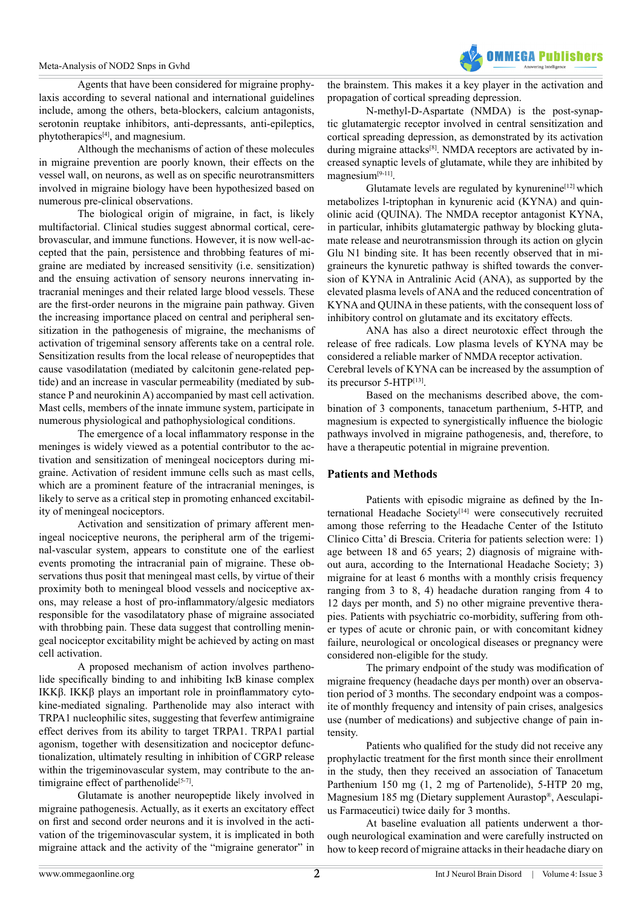Agents that have been considered for migraine prophylaxis according to several national and international guidelines include, among the others, beta-blockers, calcium antagonists, serotonin reuptake inhibitors, anti-depressants, anti-epileptics, phytotherapics[\[4\],](#page-3-3) and magnesium.

Although the mechanisms of action of these molecules in migraine prevention are poorly known, their effects on the vessel wall, on neurons, as well as on specific neurotransmitters involved in migraine biology have been hypothesized based on numerous pre-clinical observations.

The biological origin of migraine, in fact, is likely multifactorial. Clinical studies suggest abnormal cortical, cerebrovascular, and immune functions. However, it is now well-accepted that the pain, persistence and throbbing features of migraine are mediated by increased sensitivity (i.e. sensitization) and the ensuing activation of sensory neurons innervating intracranial meninges and their related large blood vessels. These are the first-order neurons in the migraine pain pathway. Given the increasing importance placed on central and peripheral sensitization in the pathogenesis of migraine, the mechanisms of activation of trigeminal sensory afferents take on a central role. Sensitization results from the local release of neuropeptides that cause vasodilatation (mediated by calcitonin gene-related peptide) and an increase in vascular permeability (mediated by substance P and neurokinin A) accompanied by mast cell activation. Mast cells, members of the innate immune system, participate in numerous physiological and pathophysiological conditions.

The emergence of a local inflammatory response in the meninges is widely viewed as a potential contributor to the activation and sensitization of meningeal nociceptors during migraine. Activation of resident immune cells such as mast cells, which are a prominent feature of the intracranial meninges, is likely to serve as a critical step in promoting enhanced excitability of meningeal nociceptors.

Activation and sensitization of primary afferent meningeal nociceptive neurons, the peripheral arm of the trigeminal-vascular system, appears to constitute one of the earliest events promoting the intracranial pain of migraine. These observations thus posit that meningeal mast cells, by virtue of their proximity both to meningeal blood vessels and nociceptive axons, may release a host of pro-inflammatory/algesic mediators responsible for the vasodilatatory phase of migraine associated with throbbing pain. These data suggest that controlling meningeal nociceptor excitability might be achieved by acting on mast cell activation.

A proposed mechanism of action involves parthenolide specifically binding to and inhibiting IκB kinase complex IKKβ. IKKβ plays an important role in proinflammatory cytokine-mediated signaling. Parthenolide may also interact with TRPA1 nucleophilic sites, suggesting that feverfew antimigraine effect derives from its ability to target TRPA1. TRPA1 partial agonism, together with desensitization and nociceptor defunctionalization, ultimately resulting in inhibition of CGRP release within the trigeminovascular system, may contribute to the antimigraine effect of parthenolide<sup>[5-7]</sup>.

Glutamate is another neuropeptide likely involved in migraine pathogenesis. Actually, as it exerts an excitatory effect on first and second order neurons and it is involved in the activation of the trigeminovascular system, it is implicated in both migraine attack and the activity of the "migraine generator" in

the brainstem. This makes it a key player in the activation and propagation of cortical spreading depression.

N-methyl-D-Aspartate (NMDA) is the post-synaptic glutamatergic receptor involved in central sensitization and cortical spreading depression, as demonstrated by its activation during migraine attacks<sup>[8]</sup>. NMDA receptors are activated by increased synaptic levels of glutamate, while they are inhibited by magnesium<sup>[\[9-11\]](#page-3-6)</sup>.

Glutamate levels are regulated by kynurenine<sup>[12]</sup> which metabolizes l-triptophan in kynurenic acid (KYNA) and quinolinic acid (QUINA). The NMDA receptor antagonist KYNA, in particular, inhibits glutamatergic pathway by blocking glutamate release and neurotransmission through its action on glycin Glu N1 binding site. It has been recently observed that in migraineurs the kynuretic pathway is shifted towards the conversion of KYNA in Antralinic Acid (ANA), as supported by the elevated plasma levels of ANA and the reduced concentration of KYNA and QUINA in these patients, with the consequent loss of inhibitory control on glutamate and its excitatory effects.

ANA has also a direct neurotoxic effect through the release of free radicals. Low plasma levels of KYNA may be considered a reliable marker of NMDA receptor activation. Cerebral levels of KYNA can be increased by the assumption of its precursor 5-HT[P\[13\].](#page-3-8)

Based on the mechanisms described above, the combination of 3 components, tanacetum parthenium, 5-HTP, and magnesium is expected to synergistically influence the biologic pathways involved in migraine pathogenesis, and, therefore, to have a therapeutic potential in migraine prevention.

# **Patients and Methods**

Patients with episodic migraine as defined by the International Headache Society<sup>[14]</sup> were consecutively recruited among those referring to the Headache Center of the Istituto Clinico Citta' di Brescia. Criteria for patients selection were: 1) age between 18 and 65 years; 2) diagnosis of migraine without aura, according to the International Headache Society; 3) migraine for at least 6 months with a monthly crisis frequency ranging from 3 to 8, 4) headache duration ranging from 4 to 12 days per month, and 5) no other migraine preventive therapies. Patients with psychiatric co-morbidity, suffering from other types of acute or chronic pain, or with concomitant kidney failure, neurological or oncological diseases or pregnancy were considered non-eligible for the study.

The primary endpoint of the study was modification of migraine frequency (headache days per month) over an observation period of 3 months. The secondary endpoint was a composite of monthly frequency and intensity of pain crises, analgesics use (number of medications) and subjective change of pain intensity.

Patients who qualified for the study did not receive any prophylactic treatment for the first month since their enrollment in the study, then they received an association of Tanacetum Parthenium 150 mg (1, 2 mg of Partenolide), 5-HTP 20 mg, Magnesium 185 mg (Dietary supplement Aurastop®, Aesculapius Farmaceutici) twice daily for 3 months.

At baseline evaluation all patients underwent a thorough neurological examination and were carefully instructed on how to keep record of migraine attacks in their headache diary on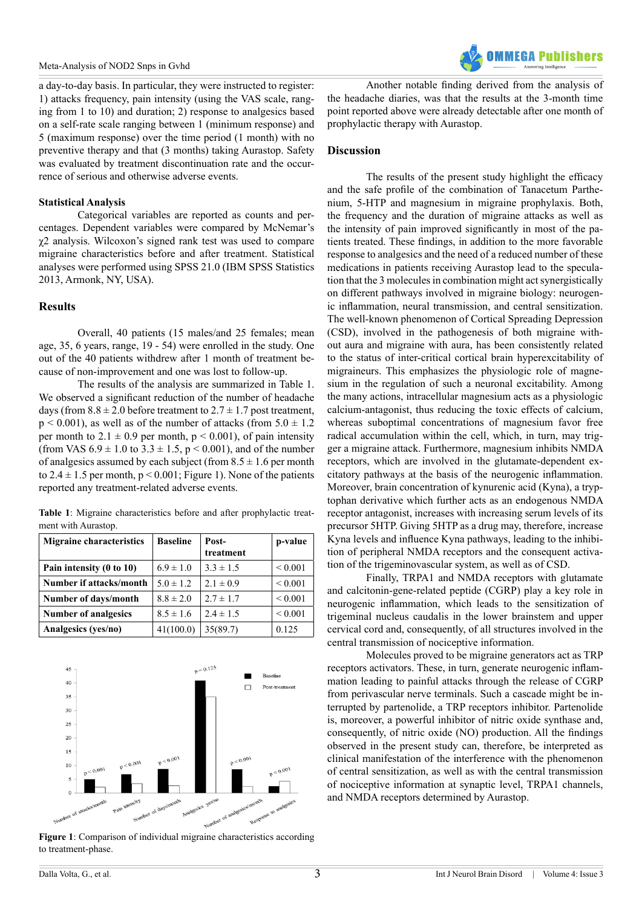a day-to-day basis. In particular, they were instructed to register: 1) attacks frequency, pain intensity (using the VAS scale, ranging from 1 to 10) and duration; 2) response to analgesics based on a self-rate scale ranging between 1 (minimum response) and 5 (maximum response) over the time period (1 month) with no preventive therapy and that (3 months) taking Aurastop. Safety was evaluated by treatment discontinuation rate and the occurrence of serious and otherwise adverse events.

# **Statistical Analysis**

Categorical variables are reported as counts and percentages. Dependent variables were compared by McNemar's χ2 analysis. Wilcoxon's signed rank test was used to compare migraine characteristics before and after treatment. Statistical analyses were performed using SPSS 21.0 (IBM SPSS Statistics 2013, Armonk, NY, USA).

# **Results**

Overall, 40 patients (15 males/and 25 females; mean age, 35, 6 years, range, 19 - 54) were enrolled in the study. One out of the 40 patients withdrew after 1 month of treatment because of non-improvement and one was lost to follow-up.

The results of the analysis are summarized in Table 1. We observed a significant reduction of the number of headache days (from  $8.8 \pm 2.0$  before treatment to  $2.7 \pm 1.7$  post treatment,  $p \le 0.001$ ), as well as of the number of attacks (from  $5.0 \pm 1.2$ ) per month to  $2.1 \pm 0.9$  per month,  $p \le 0.001$ ), of pain intensity (from VAS  $6.9 \pm 1.0$  to  $3.3 \pm 1.5$ ,  $p \le 0.001$ ), and of the number of analgesics assumed by each subject (from  $8.5 \pm 1.6$  per month to  $2.4 \pm 1.5$  per month,  $p \le 0.001$ ; Figure 1). None of the patients reported any treatment-related adverse events.

**Table 1**: Migraine characteristics before and after prophylactic treatment with Aurastop.

| <b>Migraine characteristics</b> | <b>Baseline</b> | Post-<br>treatment | p-value      |
|---------------------------------|-----------------|--------------------|--------------|
| Pain intensity (0 to 10)        | $6.9 \pm 1.0$   | $3.3 \pm 1.5$      | ${}_{0.001}$ |
| Number if attacks/month         | $5.0 \pm 1.2$   | $2.1 \pm 0.9$      | ${}_{0.001}$ |
| Number of days/month            | $8.8 \pm 2.0$   | $2.7 \pm 1.7$      | ${}< 0.001$  |
| <b>Number of analgesics</b>     | $8.5 \pm 1.6$   | $2.4 \pm 1.5$      | ${}< 0.001$  |
| Analgesics (yes/no)             | 41(100.0)       | 35(89.7)           | 0.125        |



**Figure 1**: Comparison of individual migraine characteristics according to treatment-phase.

Another notable finding derived from the analysis of the headache diaries, was that the results at the 3-month time point reported above were already detectable after one month of prophylactic therapy with Aurastop.

# **Discussion**

The results of the present study highlight the efficacy and the safe profile of the combination of Tanacetum Parthenium, 5-HTP and magnesium in migraine prophylaxis. Both, the frequency and the duration of migraine attacks as well as the intensity of pain improved significantly in most of the patients treated. These findings, in addition to the more favorable response to analgesics and the need of a reduced number of these medications in patients receiving Aurastop lead to the speculation that the 3 molecules in combination might act synergistically on different pathways involved in migraine biology: neurogenic inflammation, neural transmission, and central sensitization. The well-known phenomenon of Cortical Spreading Depression (CSD), involved in the pathogenesis of both migraine without aura and migraine with aura, has been consistently related to the status of inter-critical cortical brain hyperexcitability of migraineurs. This emphasizes the physiologic role of magnesium in the regulation of such a neuronal excitability. Among the many actions, intracellular magnesium acts as a physiologic calcium-antagonist, thus reducing the toxic effects of calcium, whereas suboptimal concentrations of magnesium favor free radical accumulation within the cell, which, in turn, may trigger a migraine attack. Furthermore, magnesium inhibits NMDA receptors, which are involved in the glutamate-dependent excitatory pathways at the basis of the neurogenic inflammation. Moreover, brain concentration of kynurenic acid (Kyna), a tryptophan derivative which further acts as an endogenous NMDA receptor antagonist, increases with increasing serum levels of its precursor 5HTP. Giving 5HTP as a drug may, therefore, increase Kyna levels and influence Kyna pathways, leading to the inhibition of peripheral NMDA receptors and the consequent activation of the trigeminovascular system, as well as of CSD.

Finally, TRPA1 and NMDA receptors with glutamate and calcitonin-gene-related peptide (CGRP) play a key role in neurogenic inflammation, which leads to the sensitization of trigeminal nucleus caudalis in the lower brainstem and upper cervical cord and, consequently, of all structures involved in the central transmission of nociceptive information.

Molecules proved to be migraine generators act as TRP receptors activators. These, in turn, generate neurogenic inflammation leading to painful attacks through the release of CGRP from perivascular nerve terminals. Such a cascade might be interrupted by partenolide, a TRP receptors inhibitor. Partenolide is, moreover, a powerful inhibitor of nitric oxide synthase and, consequently, of nitric oxide (NO) production. All the findings observed in the present study can, therefore, be interpreted as clinical manifestation of the interference with the phenomenon of central sensitization, as well as with the central transmission of nociceptive information at synaptic level, TRPA1 channels, and NMDA receptors determined by Aurastop.